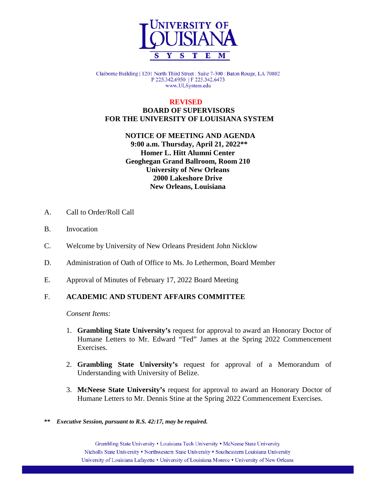

Claiborne Building | 1201 North Third Street | Suite 7-300 | Baton Rouge, LA 70802 P 225.342.6950 | F 225.342.6473 www.ULSystem.edu

### **REVISED BOARD OF SUPERVISORS FOR THE UNIVERSITY OF LOUISIANA SYSTEM**

# **NOTICE OF MEETING AND AGENDA 9:00 a.m. Thursday, April 21, 2022\*\* Homer L. Hitt Alumni Center Geoghegan Grand Ballroom, Room 210 University of New Orleans 2000 Lakeshore Drive New Orleans, Louisiana**

- A. Call to Order/Roll Call
- B. Invocation
- C. Welcome by University of New Orleans President John Nicklow
- D. Administration of Oath of Office to Ms. Jo Lethermon, Board Member
- E. Approval of Minutes of February 17, 2022 Board Meeting

# F. **ACADEMIC AND STUDENT AFFAIRS COMMITTEE**

*Consent Items:*

- 1. **Grambling State University's** request for approval to award an Honorary Doctor of Humane Letters to Mr. Edward "Ted" James at the Spring 2022 Commencement Exercises.
- 2. **Grambling State University's** request for approval of a Memorandum of Understanding with University of Belize.
- 3. **McNeese State University's** request for approval to award an Honorary Doctor of Humane Letters to Mr. Dennis Stine at the Spring 2022 Commencement Exercises.

#### **\*\*** *Executive Session, pursuant to R.S. 42:17, may be required.*

Grambling State University • Louisiana Tech University • McNeese State University Nicholls State University • Northwestern State University • Southeastern Louisiana University University of Louisiana Lafayette • University of Louisiana Monroe • University of New Orleans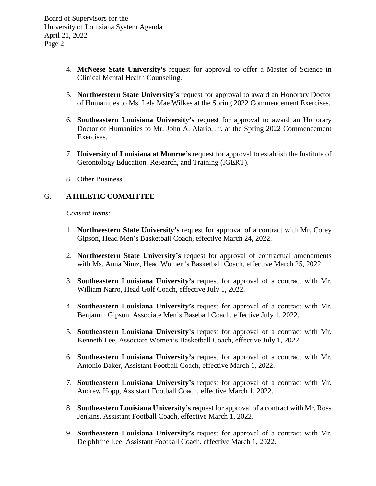- 4. **McNeese State University's** request for approval to offer a Master of Science in Clinical Mental Health Counseling.
- 5. **Northwestern State University's** request for approval to award an Honorary Doctor of Humanities to Ms. Lela Mae Wilkes at the Spring 2022 Commencement Exercises.
- 6. **Southeastern Louisiana University's** request for approval to award an Honorary Doctor of Humanities to Mr. John A. Alario, Jr. at the Spring 2022 Commencement Exercises.
- 7. **University of Louisiana at Monroe's** request for approval to establish the Institute of Gerontology Education, Research, and Training (IGERT).
- 8. Other Business

# G. **ATHLETIC COMMITTEE**

*Consent Items:*

- 1. **Northwestern State University's** request for approval of a contract with Mr. Corey Gipson, Head Men's Basketball Coach, effective March 24, 2022.
- 2. **Northwestern State University's** request for approval of contractual amendments with Ms. Anna Nimz, Head Women's Basketball Coach, effective March 25, 2022.
- 3. **Southeastern Louisiana University's** request for approval of a contract with Mr. William Narro, Head Golf Coach, effective July 1, 2022.
- 4. **Southeastern Louisiana University's** request for approval of a contract with Mr. Benjamin Gipson, Associate Men's Baseball Coach, effective July 1, 2022.
- 5. **Southeastern Louisiana University's** request for approval of a contract with Mr. Kenneth Lee, Associate Women's Basketball Coach, effective July 1, 2022.
- 6. **Southeastern Louisiana University's** request for approval of a contract with Mr. Antonio Baker, Assistant Football Coach, effective March 1, 2022.
- 7. **Southeastern Louisiana University's** request for approval of a contract with Mr. Andrew Hopp, Assistant Football Coach, effective March 1, 2022.
- 8. **Southeastern Louisiana University's** request for approval of a contract with Mr. Ross Jenkins, Assistant Football Coach, effective March 1, 2022.
- 9. **Southeastern Louisiana University's** request for approval of a contract with Mr. Delphfrine Lee, Assistant Football Coach, effective March 1, 2022.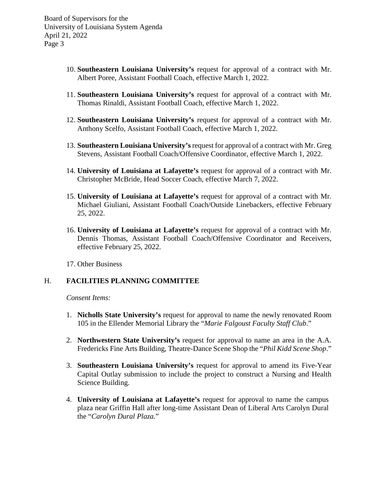- 10. **Southeastern Louisiana University's** request for approval of a contract with Mr. Albert Poree, Assistant Football Coach, effective March 1, 2022.
- 11. **Southeastern Louisiana University's** request for approval of a contract with Mr. Thomas Rinaldi, Assistant Football Coach, effective March 1, 2022.
- 12. **Southeastern Louisiana University's** request for approval of a contract with Mr. Anthony Scelfo, Assistant Football Coach, effective March 1, 2022.
- 13. **Southeastern Louisiana University's** request for approval of a contract with Mr. Greg Stevens, Assistant Football Coach/Offensive Coordinator, effective March 1, 2022.
- 14. **University of Louisiana at Lafayette's** request for approval of a contract with Mr. Christopher McBride, Head Soccer Coach, effective March 7, 2022.
- 15. **University of Louisiana at Lafayette's** request for approval of a contract with Mr. Michael Giuliani, Assistant Football Coach/Outside Linebackers, effective February 25, 2022.
- 16. **University of Louisiana at Lafayette's** request for approval of a contract with Mr. Dennis Thomas, Assistant Football Coach/Offensive Coordinator and Receivers, effective February 25, 2022.

17. Other Business

### H. **FACILITIES PLANNING COMMITTEE**

*Consent Items:*

- 1. **Nicholls State University's** request for approval to name the newly renovated Room 105 in the Ellender Memorial Library the "*Marie Falgoust Faculty Staff Club*."
- 2. **Northwestern State University's** request for approval to name an area in the A.A. Fredericks Fine Arts Building, Theatre-Dance Scene Shop the "*Phil Kidd Scene Shop*."
- 3. **Southeastern Louisiana University's** request for approval to amend its Five-Year Capital Outlay submission to include the project to construct a Nursing and Health Science Building.
- 4. **University of Louisiana at Lafayette's** request for approval to name the campus plaza near Griffin Hall after long-time Assistant Dean of Liberal Arts Carolyn Dural the "*Carolyn Dural Plaza.*"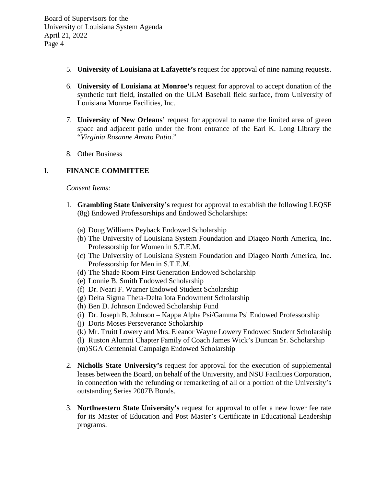- 5. **University of Louisiana at Lafayette's** request for approval of nine naming requests.
- 6. **University of Louisiana at Monroe's** request for approval to accept donation of the synthetic turf field, installed on the ULM Baseball field surface, from University of Louisiana Monroe Facilities, Inc.
- 7. **University of New Orleans'** request for approval to name the limited area of green space and adjacent patio under the front entrance of the Earl K. Long Library the "*Virginia Rosanne Amato Patio*."
- 8. Other Business

# I. **FINANCE COMMITTEE**

*Consent Items:*

- 1. **Grambling State University's** request for approval to establish the following LEQSF (8g) Endowed Professorships and Endowed Scholarships:
	- (a) Doug Williams Peyback Endowed Scholarship
	- (b) The University of Louisiana System Foundation and Diageo North America, Inc. Professorship for Women in S.T.E.M.
	- (c) The University of Louisiana System Foundation and Diageo North America, Inc. Professorship for Men in S.T.E.M.
	- (d) The Shade Room First Generation Endowed Scholarship
	- (e) Lonnie B. Smith Endowed Scholarship
	- (f) Dr. Neari F. Warner Endowed Student Scholarship
	- (g) Delta Sigma Theta-Delta Iota Endowment Scholarship
	- (h) Ben D. Johnson Endowed Scholarship Fund
	- (i) Dr. Joseph B. Johnson Kappa Alpha Psi/Gamma Psi Endowed Professorship
	- (j) Doris Moses Perseverance Scholarship
	- (k) Mr. Truitt Lowery and Mrs. Eleanor Wayne Lowery Endowed Student Scholarship
	- (l) Ruston Alumni Chapter Family of Coach James Wick's Duncan Sr. Scholarship
	- (m)SGA Centennial Campaign Endowed Scholarship
- 2. **Nicholls State University's** request for approval for the execution of supplemental leases between the Board, on behalf of the University, and NSU Facilities Corporation, in connection with the refunding or remarketing of all or a portion of the University's outstanding Series 2007B Bonds.
- 3. **Northwestern State University's** request for approval to offer a new lower fee rate for its Master of Education and Post Master's Certificate in Educational Leadership programs.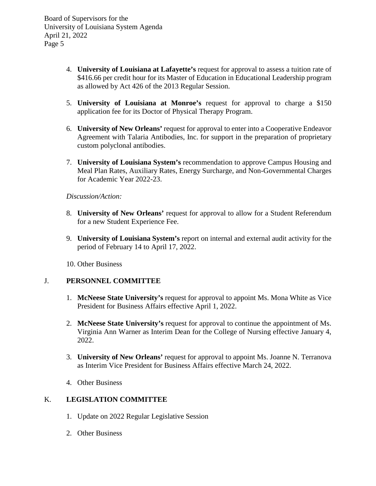- 4. **University of Louisiana at Lafayette's** request for approval to assess a tuition rate of \$416.66 per credit hour for its Master of Education in Educational Leadership program as allowed by Act 426 of the 2013 Regular Session.
- 5. **University of Louisiana at Monroe's** request for approval to charge a \$150 application fee for its Doctor of Physical Therapy Program.
- 6. **University of New Orleans'** request for approval to enter into a Cooperative Endeavor Agreement with Talaria Antibodies, Inc. for support in the preparation of proprietary custom polyclonal antibodies.
- 7. **University of Louisiana System's** recommendation to approve Campus Housing and Meal Plan Rates, Auxiliary Rates, Energy Surcharge, and Non-Governmental Charges for Academic Year 2022-23.

*Discussion/Action:*

- 8. **University of New Orleans'** request for approval to allow for a Student Referendum for a new Student Experience Fee.
- 9. **University of Louisiana System's** report on internal and external audit activity for the period of February 14 to April 17, 2022.

10. Other Business

#### J. **PERSONNEL COMMITTEE**

- 1. **McNeese State University's** request for approval to appoint Ms. Mona White as Vice President for Business Affairs effective April 1, 2022.
- 2. **McNeese State University's** request for approval to continue the appointment of Ms. Virginia Ann Warner as Interim Dean for the College of Nursing effective January 4, 2022.
- 3. **University of New Orleans'** request for approval to appoint Ms. Joanne N. Terranova as Interim Vice President for Business Affairs effective March 24, 2022.
- 4. Other Business

# K. **LEGISLATION COMMITTEE**

- 1. Update on 2022 Regular Legislative Session
- 2. Other Business